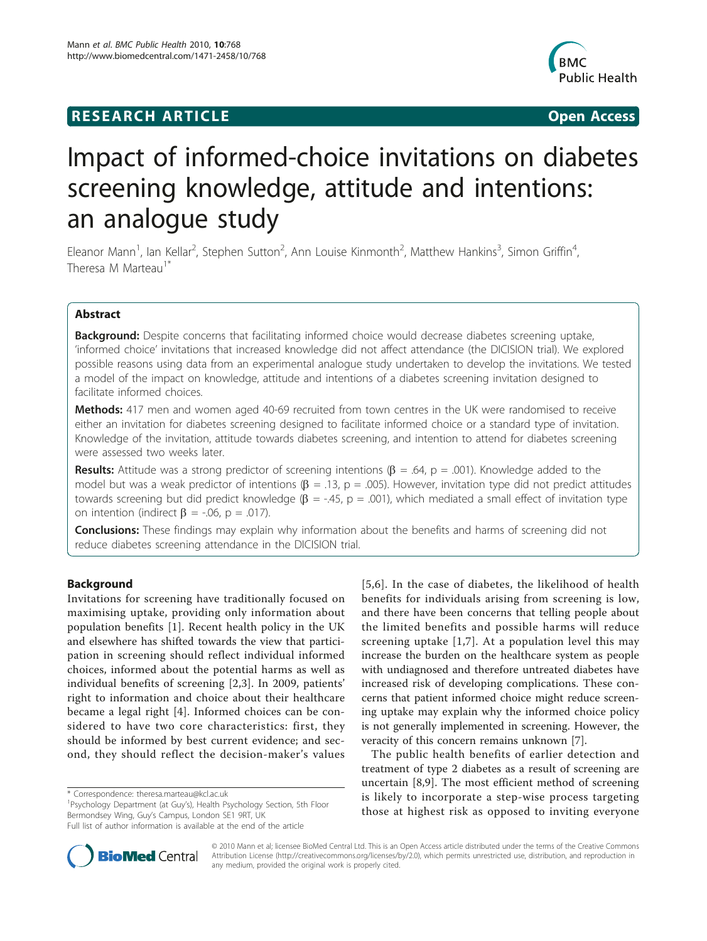## **RESEARCH ARTICLE Example 2018 CONSIDERING ACCESS**



# Impact of informed-choice invitations on diabetes screening knowledge, attitude and intentions: an analogue study

Eleanor Mann<sup>1</sup>, Ian Kellar<sup>2</sup>, Stephen Sutton<sup>2</sup>, Ann Louise Kinmonth<sup>2</sup>, Matthew Hankins<sup>3</sup>, Simon Griffin<sup>4</sup> , Theresa M Marteau<sup>1</sup>

## Abstract

**Background:** Despite concerns that facilitating informed choice would decrease diabetes screening uptake, 'informed choice' invitations that increased knowledge did not affect attendance (the DICISION trial). We explored possible reasons using data from an experimental analogue study undertaken to develop the invitations. We tested a model of the impact on knowledge, attitude and intentions of a diabetes screening invitation designed to facilitate informed choices.

**Methods:** 417 men and women aged 40-69 recruited from town centres in the UK were randomised to receive either an invitation for diabetes screening designed to facilitate informed choice or a standard type of invitation. Knowledge of the invitation, attitude towards diabetes screening, and intention to attend for diabetes screening were assessed two weeks later.

**Results:** Attitude was a strong predictor of screening intentions ( $\beta$  = .64, p = .001). Knowledge added to the model but was a weak predictor of intentions  $(\beta = .13, p = .005)$ . However, invitation type did not predict attitudes towards screening but did predict knowledge ( $\beta$  = -.45, p = .001), which mediated a small effect of invitation type on intention (indirect  $\beta$  = -.06, p = .017).

**Conclusions:** These findings may explain why information about the benefits and harms of screening did not reduce diabetes screening attendance in the DICISION trial.

## Background

Invitations for screening have traditionally focused on maximising uptake, providing only information about population benefits [[1\]](#page-6-0). Recent health policy in the UK and elsewhere has shifted towards the view that participation in screening should reflect individual informed choices, informed about the potential harms as well as individual benefits of screening [[2,3](#page-6-0)]. In 2009, patients' right to information and choice about their healthcare became a legal right [\[4](#page-6-0)]. Informed choices can be considered to have two core characteristics: first, they should be informed by best current evidence; and second, they should reflect the decision-maker's values

<sup>1</sup>Psychology Department (at Guy's), Health Psychology Section, 5th Floor Bermondsey Wing, Guy's Campus, London SE1 9RT, UK



The public health benefits of earlier detection and treatment of type 2 diabetes as a result of screening are uncertain [[8,9](#page-6-0)]. The most efficient method of screening is likely to incorporate a step-wise process targeting those at highest risk as opposed to inviting everyone



© 2010 Mann et al; licensee BioMed Central Ltd. This is an Open Access article distributed under the terms of the Creative Commons Attribution License [\(http://creativecommons.org/licenses/by/2.0](http://creativecommons.org/licenses/by/2.0)), which permits unrestricted use, distribution, and reproduction in any medium, provided the original work is properly cited.

<sup>\*</sup> Correspondence: [theresa.marteau@kcl.ac.uk](mailto:theresa.marteau@kcl.ac.uk)

Full list of author information is available at the end of the article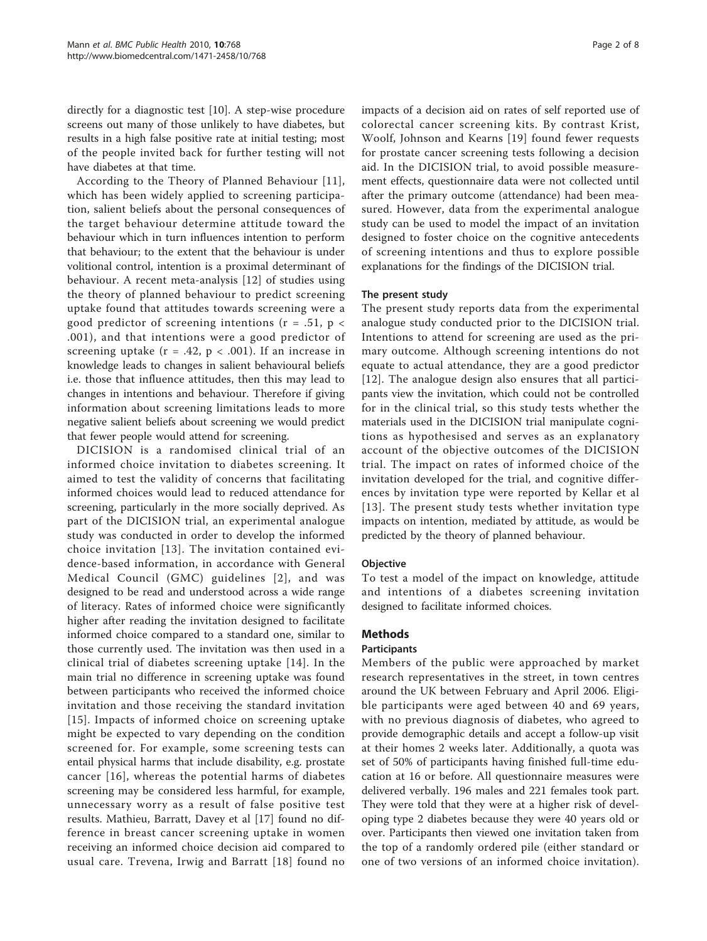directly for a diagnostic test [\[10\]](#page-6-0). A step-wise procedure screens out many of those unlikely to have diabetes, but results in a high false positive rate at initial testing; most of the people invited back for further testing will not have diabetes at that time.

According to the Theory of Planned Behaviour [[11](#page-6-0)], which has been widely applied to screening participation, salient beliefs about the personal consequences of the target behaviour determine attitude toward the behaviour which in turn influences intention to perform that behaviour; to the extent that the behaviour is under volitional control, intention is a proximal determinant of behaviour. A recent meta-analysis [\[12](#page-6-0)] of studies using the theory of planned behaviour to predict screening uptake found that attitudes towards screening were a good predictor of screening intentions ( $r = .51$ ,  $p <$ .001), and that intentions were a good predictor of screening uptake ( $r = .42$ ,  $p < .001$ ). If an increase in knowledge leads to changes in salient behavioural beliefs i.e. those that influence attitudes, then this may lead to changes in intentions and behaviour. Therefore if giving information about screening limitations leads to more negative salient beliefs about screening we would predict that fewer people would attend for screening.

DICISION is a randomised clinical trial of an informed choice invitation to diabetes screening. It aimed to test the validity of concerns that facilitating informed choices would lead to reduced attendance for screening, particularly in the more socially deprived. As part of the DICISION trial, an experimental analogue study was conducted in order to develop the informed choice invitation [[13\]](#page-6-0). The invitation contained evidence-based information, in accordance with General Medical Council (GMC) guidelines [[2](#page-6-0)], and was designed to be read and understood across a wide range of literacy. Rates of informed choice were significantly higher after reading the invitation designed to facilitate informed choice compared to a standard one, similar to those currently used. The invitation was then used in a clinical trial of diabetes screening uptake [\[14\]](#page-6-0). In the main trial no difference in screening uptake was found between participants who received the informed choice invitation and those receiving the standard invitation [[15](#page-6-0)]. Impacts of informed choice on screening uptake might be expected to vary depending on the condition screened for. For example, some screening tests can entail physical harms that include disability, e.g. prostate cancer [[16](#page-6-0)], whereas the potential harms of diabetes screening may be considered less harmful, for example, unnecessary worry as a result of false positive test results. Mathieu, Barratt, Davey et al [[17\]](#page-6-0) found no difference in breast cancer screening uptake in women receiving an informed choice decision aid compared to usual care. Trevena, Irwig and Barratt [[18](#page-6-0)] found no impacts of a decision aid on rates of self reported use of colorectal cancer screening kits. By contrast Krist, Woolf, Johnson and Kearns [[19](#page-7-0)] found fewer requests for prostate cancer screening tests following a decision aid. In the DICISION trial, to avoid possible measurement effects, questionnaire data were not collected until after the primary outcome (attendance) had been measured. However, data from the experimental analogue study can be used to model the impact of an invitation designed to foster choice on the cognitive antecedents of screening intentions and thus to explore possible explanations for the findings of the DICISION trial.

#### The present study

The present study reports data from the experimental analogue study conducted prior to the DICISION trial. Intentions to attend for screening are used as the primary outcome. Although screening intentions do not equate to actual attendance, they are a good predictor [[12](#page-6-0)]. The analogue design also ensures that all participants view the invitation, which could not be controlled for in the clinical trial, so this study tests whether the materials used in the DICISION trial manipulate cognitions as hypothesised and serves as an explanatory account of the objective outcomes of the DICISION trial. The impact on rates of informed choice of the invitation developed for the trial, and cognitive differences by invitation type were reported by Kellar et al [[13\]](#page-6-0). The present study tests whether invitation type impacts on intention, mediated by attitude, as would be predicted by the theory of planned behaviour.

#### Objective

To test a model of the impact on knowledge, attitude and intentions of a diabetes screening invitation designed to facilitate informed choices.

## **Methods**

#### Participants

Members of the public were approached by market research representatives in the street, in town centres around the UK between February and April 2006. Eligible participants were aged between 40 and 69 years, with no previous diagnosis of diabetes, who agreed to provide demographic details and accept a follow-up visit at their homes 2 weeks later. Additionally, a quota was set of 50% of participants having finished full-time education at 16 or before. All questionnaire measures were delivered verbally. 196 males and 221 females took part. They were told that they were at a higher risk of developing type 2 diabetes because they were 40 years old or over. Participants then viewed one invitation taken from the top of a randomly ordered pile (either standard or one of two versions of an informed choice invitation).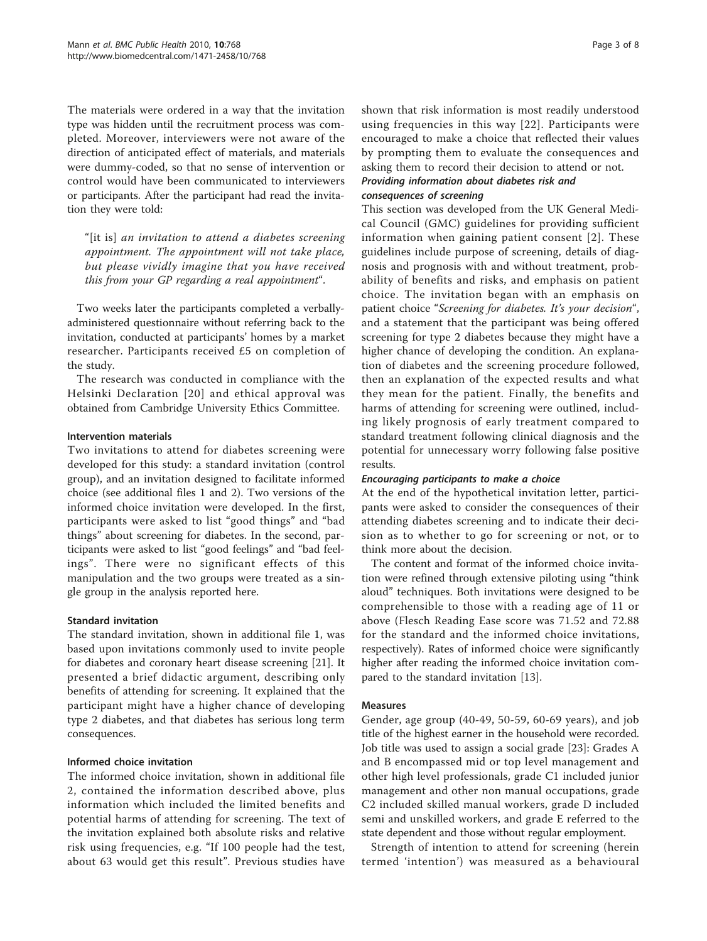The materials were ordered in a way that the invitation type was hidden until the recruitment process was completed. Moreover, interviewers were not aware of the direction of anticipated effect of materials, and materials were dummy-coded, so that no sense of intervention or control would have been communicated to interviewers or participants. After the participant had read the invitation they were told:

"[it is] an invitation to attend a diabetes screening appointment. The appointment will not take place, but please vividly imagine that you have received this from your GP regarding a real appointment".

Two weeks later the participants completed a verballyadministered questionnaire without referring back to the invitation, conducted at participants' homes by a market researcher. Participants received £5 on completion of the study.

The research was conducted in compliance with the Helsinki Declaration [[20](#page-7-0)] and ethical approval was obtained from Cambridge University Ethics Committee.

#### Intervention materials

Two invitations to attend for diabetes screening were developed for this study: a standard invitation (control group), and an invitation designed to facilitate informed choice (see additional files [1](#page-6-0) and [2\)](#page-6-0). Two versions of the informed choice invitation were developed. In the first, participants were asked to list "good things" and "bad things" about screening for diabetes. In the second, participants were asked to list "good feelings" and "bad feelings". There were no significant effects of this manipulation and the two groups were treated as a single group in the analysis reported here.

## Standard invitation

The standard invitation, shown in additional file [1,](#page-6-0) was based upon invitations commonly used to invite people for diabetes and coronary heart disease screening [[21\]](#page-7-0). It presented a brief didactic argument, describing only benefits of attending for screening. It explained that the participant might have a higher chance of developing type 2 diabetes, and that diabetes has serious long term consequences.

## Informed choice invitation

The informed choice invitation, shown in additional file [2](#page-6-0), contained the information described above, plus information which included the limited benefits and potential harms of attending for screening. The text of the invitation explained both absolute risks and relative risk using frequencies, e.g. "If 100 people had the test, about 63 would get this result". Previous studies have

shown that risk information is most readily understood using frequencies in this way [[22](#page-7-0)]. Participants were encouraged to make a choice that reflected their values by prompting them to evaluate the consequences and asking them to record their decision to attend or not.

## Providing information about diabetes risk and consequences of screening

This section was developed from the UK General Medical Council (GMC) guidelines for providing sufficient information when gaining patient consent [[2](#page-6-0)]. These guidelines include purpose of screening, details of diagnosis and prognosis with and without treatment, probability of benefits and risks, and emphasis on patient choice. The invitation began with an emphasis on patient choice "Screening for diabetes. It's your decision", and a statement that the participant was being offered screening for type 2 diabetes because they might have a higher chance of developing the condition. An explanation of diabetes and the screening procedure followed, then an explanation of the expected results and what they mean for the patient. Finally, the benefits and harms of attending for screening were outlined, including likely prognosis of early treatment compared to standard treatment following clinical diagnosis and the potential for unnecessary worry following false positive results.

## Encouraging participants to make a choice

At the end of the hypothetical invitation letter, participants were asked to consider the consequences of their attending diabetes screening and to indicate their decision as to whether to go for screening or not, or to think more about the decision.

The content and format of the informed choice invitation were refined through extensive piloting using "think aloud" techniques. Both invitations were designed to be comprehensible to those with a reading age of 11 or above (Flesch Reading Ease score was 71.52 and 72.88 for the standard and the informed choice invitations, respectively). Rates of informed choice were significantly higher after reading the informed choice invitation compared to the standard invitation [[13](#page-6-0)].

## Measures

Gender, age group (40-49, 50-59, 60-69 years), and job title of the highest earner in the household were recorded. Job title was used to assign a social grade [\[23](#page-7-0)]: Grades A and B encompassed mid or top level management and other high level professionals, grade C1 included junior management and other non manual occupations, grade C2 included skilled manual workers, grade D included semi and unskilled workers, and grade E referred to the state dependent and those without regular employment.

Strength of intention to attend for screening (herein termed 'intention') was measured as a behavioural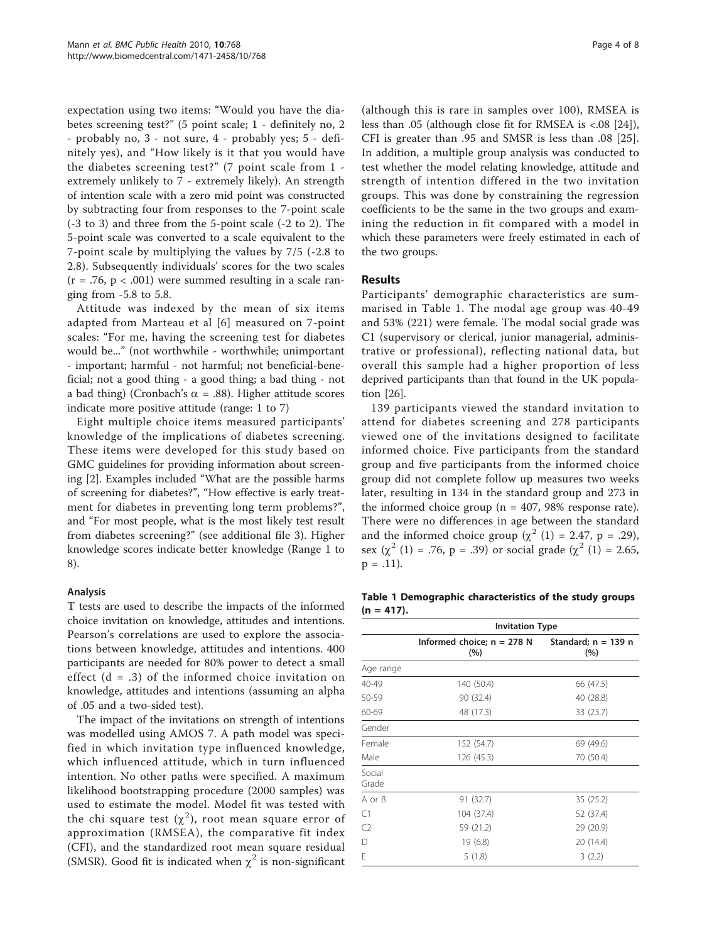expectation using two items: "Would you have the diabetes screening test?" (5 point scale; 1 - definitely no, 2 - probably no, 3 - not sure, 4 - probably yes; 5 - definitely yes), and "How likely is it that you would have the diabetes screening test?" (7 point scale from 1 extremely unlikely to 7 - extremely likely). An strength of intention scale with a zero mid point was constructed by subtracting four from responses to the 7-point scale (-3 to 3) and three from the 5-point scale (-2 to 2). The 5-point scale was converted to a scale equivalent to the 7-point scale by multiplying the values by 7/5 (-2.8 to 2.8). Subsequently individuals' scores for the two scales  $(r = .76, p < .001)$  were summed resulting in a scale ranging from -5.8 to 5.8.

Attitude was indexed by the mean of six items adapted from Marteau et al [[6](#page-6-0)] measured on 7-point scales: "For me, having the screening test for diabetes would be..." (not worthwhile - worthwhile; unimportant - important; harmful - not harmful; not beneficial-beneficial; not a good thing - a good thing; a bad thing - not a bad thing) (Cronbach's  $\alpha$  = .88). Higher attitude scores indicate more positive attitude (range: 1 to 7)

Eight multiple choice items measured participants' knowledge of the implications of diabetes screening. These items were developed for this study based on GMC guidelines for providing information about screening [[2\]](#page-6-0). Examples included "What are the possible harms of screening for diabetes?", "How effective is early treatment for diabetes in preventing long term problems?", and "For most people, what is the most likely test result from diabetes screening?" (see additional file [3](#page-6-0)). Higher knowledge scores indicate better knowledge (Range 1 to 8).

#### Analysis

T tests are used to describe the impacts of the informed choice invitation on knowledge, attitudes and intentions. Pearson's correlations are used to explore the associations between knowledge, attitudes and intentions. 400 participants are needed for 80% power to detect a small effect  $(d = .3)$  of the informed choice invitation on knowledge, attitudes and intentions (assuming an alpha of .05 and a two-sided test).

The impact of the invitations on strength of intentions was modelled using AMOS 7. A path model was specified in which invitation type influenced knowledge, which influenced attitude, which in turn influenced intention. No other paths were specified. A maximum likelihood bootstrapping procedure (2000 samples) was used to estimate the model. Model fit was tested with the chi square test  $(\chi^2)$ , root mean square error of approximation (RMSEA), the comparative fit index (CFI), and the standardized root mean square residual (SMSR). Good fit is indicated when  $\chi^2$  is non-significant

(although this is rare in samples over 100), RMSEA is less than .05 (although close fit for RMSEA is <.08 [\[24](#page-7-0)]), CFI is greater than .95 and SMSR is less than .08 [[25](#page-7-0)]. In addition, a multiple group analysis was conducted to test whether the model relating knowledge, attitude and strength of intention differed in the two invitation groups. This was done by constraining the regression coefficients to be the same in the two groups and examining the reduction in fit compared with a model in which these parameters were freely estimated in each of the two groups.

## Results

Participants' demographic characteristics are summarised in Table 1. The modal age group was 40-49 and 53% (221) were female. The modal social grade was C1 (supervisory or clerical, junior managerial, administrative or professional), reflecting national data, but overall this sample had a higher proportion of less deprived participants than that found in the UK population [\[26](#page-7-0)].

139 participants viewed the standard invitation to attend for diabetes screening and 278 participants viewed one of the invitations designed to facilitate informed choice. Five participants from the standard group and five participants from the informed choice group did not complete follow up measures two weeks later, resulting in 134 in the standard group and 273 in the informed choice group ( $n = 407$ , 98% response rate). There were no differences in age between the standard and the informed choice group  $(\chi^2$  (1) = 2.47, p = .29), sex  $(\chi^2 (1) = .76, p = .39)$  or social grade  $(\chi^2 (1) = 2.65,$  $p = .11$ ).

Table 1 Demographic characteristics of the study groups  $(n = 417).$ 

|                 | <b>Invitation Type</b>              |                              |  |
|-----------------|-------------------------------------|------------------------------|--|
|                 | Informed choice; $n = 278$ N<br>(%) | Standard; $n = 139$ n<br>(%) |  |
| Age range       |                                     |                              |  |
| 40-49           | 140 (50.4)                          | 66 (47.5)                    |  |
| 50-59           | 90 (32.4)                           | 40 (28.8)                    |  |
| 60-69           | 48 (17.3)                           | 33 (23.7)                    |  |
| Gender          |                                     |                              |  |
| Female          | 152 (54.7)                          | 69 (49.6)                    |  |
| Male            | 126 (45.3)                          | 70 (50.4)                    |  |
| Social<br>Grade |                                     |                              |  |
| A or B          | 91 (32.7)                           | 35 (25.2)                    |  |
| C1              | 104 (37.4)                          | 52 (37.4)                    |  |
| C <sub>2</sub>  | 59 (21.2)                           | 29 (20.9)                    |  |
| D               | 19 (6.8)                            | 20 (14.4)                    |  |
| E               | 5(1.8)                              | 3(2.2)                       |  |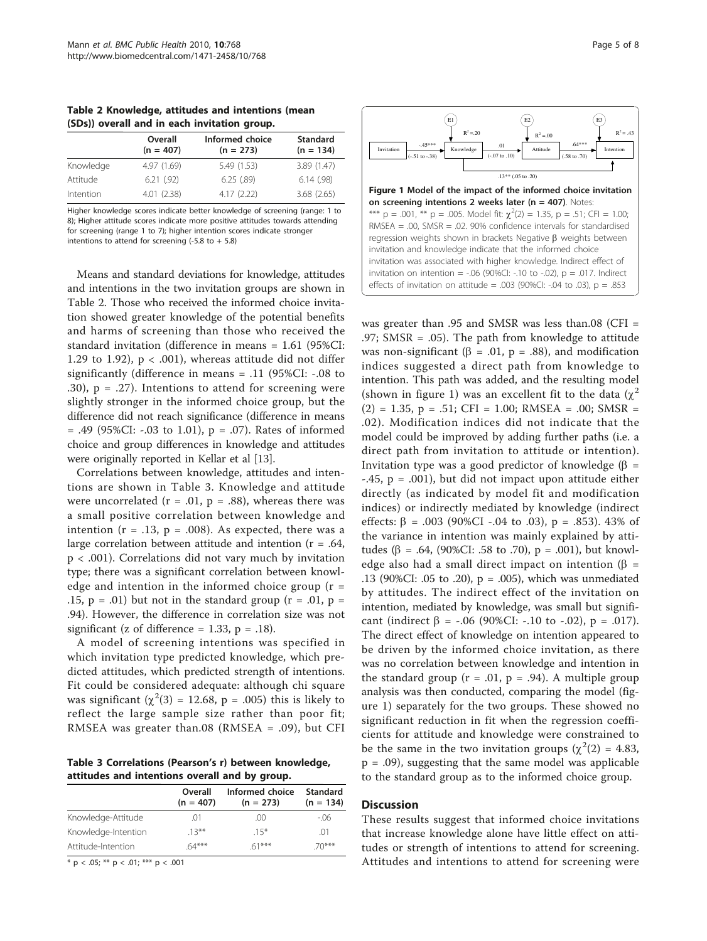Table 2 Knowledge, attitudes and intentions (mean (SDs)) overall and in each invitation group.

|           | Overall<br>$(n = 407)$ | Informed choice<br>$(n = 273)$ | <b>Standard</b><br>$(n = 134)$ |
|-----------|------------------------|--------------------------------|--------------------------------|
| Knowledge | 4.97 (1.69)            | 5.49 (1.53)                    | 3.89 (1.47)                    |
| Attitude  | 6.21(92)               | 6.25(.89)                      | 6.14(.98)                      |
| Intention | 4.01(2.38)             | 4.17(2.22)                     | 3.68(2.65)                     |

Higher knowledge scores indicate better knowledge of screening (range: 1 to 8); Higher attitude scores indicate more positive attitudes towards attending for screening (range 1 to 7); higher intention scores indicate stronger intentions to attend for screening  $(-5.8 \text{ to } +5.8)$ 

Means and standard deviations for knowledge, attitudes and intentions in the two invitation groups are shown in Table 2. Those who received the informed choice invitation showed greater knowledge of the potential benefits and harms of screening than those who received the standard invitation (difference in means = 1.61 (95%CI: 1.29 to 1.92),  $p < .001$ ), whereas attitude did not differ significantly (difference in means = .11 (95%CI: -.08 to .30),  $p = .27$ ). Intentions to attend for screening were slightly stronger in the informed choice group, but the difference did not reach significance (difference in means  $= .49$  (95%CI: -.03 to 1.01),  $p = .07$ ). Rates of informed choice and group differences in knowledge and attitudes were originally reported in Kellar et al [\[13\]](#page-6-0).

Correlations between knowledge, attitudes and intentions are shown in Table 3. Knowledge and attitude were uncorrelated ( $r = .01$ ,  $p = .88$ ), whereas there was a small positive correlation between knowledge and intention  $(r = .13, p = .008)$ . As expected, there was a large correlation between attitude and intention ( $r = .64$ , p < .001). Correlations did not vary much by invitation type; there was a significant correlation between knowledge and intention in the informed choice group  $(r =$ .15,  $p = .01$ ) but not in the standard group ( $r = .01$ ,  $p =$ .94). However, the difference in correlation size was not significant (z of difference = 1.33,  $p = .18$ ).

A model of screening intentions was specified in which invitation type predicted knowledge, which predicted attitudes, which predicted strength of intentions. Fit could be considered adequate: although chi square was significant  $(\chi^2(3) = 12.68, p = .005)$  this is likely to reflect the large sample size rather than poor fit; RMSEA was greater than.08 (RMSEA = .09), but CFI

Table 3 Correlations (Pearson's r) between knowledge, attitudes and intentions overall and by group.

|                     | Overall<br>$(n = 407)$ | Informed choice<br>$(n = 273)$ | <b>Standard</b><br>$(n = 134)$ |
|---------------------|------------------------|--------------------------------|--------------------------------|
| Knowledge-Attitude  | .01                    | $($ $($ $)$ $($ $)$            | -.06                           |
| Knowledge-Intention | $13***$                | $15*$                          | .01                            |
| Attitude-Intention  | $64***$                | $61***$                        | $70***$                        |

 $*$  p < .05;  $**$  p < .01;  $***$  p < .001



was greater than .95 and SMSR was less than.08 (CFI = .97; SMSR = .05). The path from knowledge to attitude was non-significant ( $\beta$  = .01, p = .88), and modification indices suggested a direct path from knowledge to intention. This path was added, and the resulting model (shown in figure 1) was an excellent fit to the data  $(\chi^2)$  $(2) = 1.35, p = .51; CFI = 1.00; RMSEA = .00; SMSR =$ .02). Modification indices did not indicate that the model could be improved by adding further paths (i.e. a direct path from invitation to attitude or intention). Invitation type was a good predictor of knowledge ( $\beta$  =  $-45$ ,  $p = .001$ ), but did not impact upon attitude either directly (as indicated by model fit and modification indices) or indirectly mediated by knowledge (indirect effects:  $\beta = .003$  (90%CI -.04 to .03), p = .853). 43% of the variance in intention was mainly explained by attitudes ( $\beta$  = .64, (90%CI: .58 to .70), p = .001), but knowledge also had a small direct impact on intention ( $\beta$  = .13 (90%CI: .05 to .20),  $p = .005$ ), which was unmediated by attitudes. The indirect effect of the invitation on intention, mediated by knowledge, was small but significant (indirect  $\beta$  = -.06 (90%CI: -.10 to -.02), p = .017). The direct effect of knowledge on intention appeared to be driven by the informed choice invitation, as there was no correlation between knowledge and intention in the standard group ( $r = .01$ ,  $p = .94$ ). A multiple group analysis was then conducted, comparing the model (figure 1) separately for the two groups. These showed no significant reduction in fit when the regression coefficients for attitude and knowledge were constrained to be the same in the two invitation groups ( $\chi^2(2) = 4.83$ , p = .09), suggesting that the same model was applicable to the standard group as to the informed choice group.

### **Discussion**

These results suggest that informed choice invitations that increase knowledge alone have little effect on attitudes or strength of intentions to attend for screening. Attitudes and intentions to attend for screening were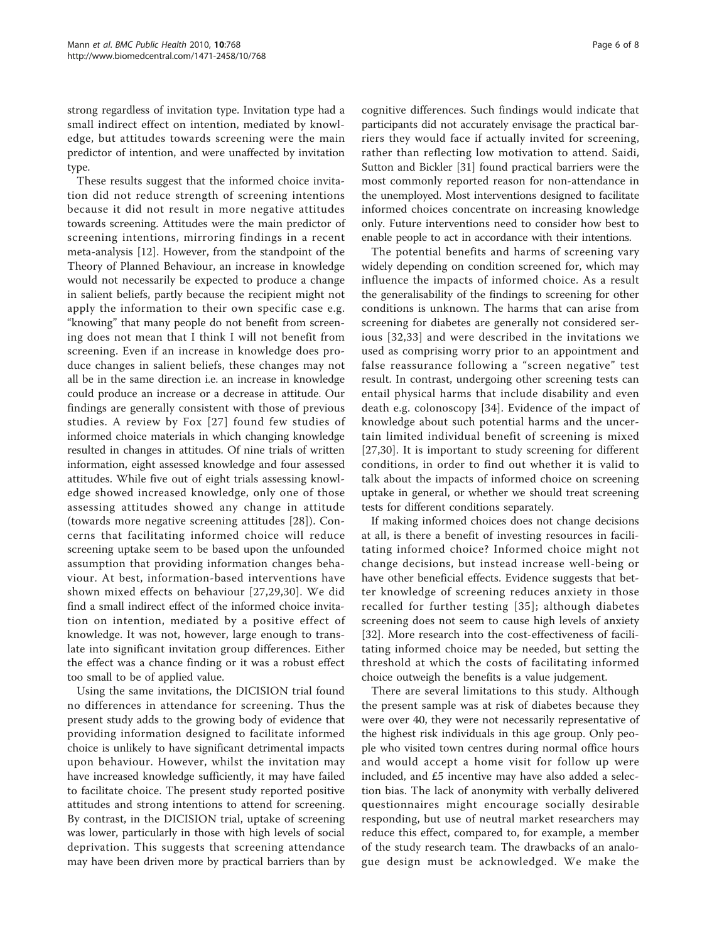strong regardless of invitation type. Invitation type had a small indirect effect on intention, mediated by knowledge, but attitudes towards screening were the main predictor of intention, and were unaffected by invitation type.

These results suggest that the informed choice invitation did not reduce strength of screening intentions because it did not result in more negative attitudes towards screening. Attitudes were the main predictor of screening intentions, mirroring findings in a recent meta-analysis [[12\]](#page-6-0). However, from the standpoint of the Theory of Planned Behaviour, an increase in knowledge would not necessarily be expected to produce a change in salient beliefs, partly because the recipient might not apply the information to their own specific case e.g. "knowing" that many people do not benefit from screening does not mean that I think I will not benefit from screening. Even if an increase in knowledge does produce changes in salient beliefs, these changes may not all be in the same direction i.e. an increase in knowledge could produce an increase or a decrease in attitude. Our findings are generally consistent with those of previous studies. A review by Fox [[27\]](#page-7-0) found few studies of informed choice materials in which changing knowledge resulted in changes in attitudes. Of nine trials of written information, eight assessed knowledge and four assessed attitudes. While five out of eight trials assessing knowledge showed increased knowledge, only one of those assessing attitudes showed any change in attitude (towards more negative screening attitudes [[28](#page-7-0)]). Concerns that facilitating informed choice will reduce screening uptake seem to be based upon the unfounded assumption that providing information changes behaviour. At best, information-based interventions have shown mixed effects on behaviour [[27,29,30](#page-7-0)]. We did find a small indirect effect of the informed choice invitation on intention, mediated by a positive effect of knowledge. It was not, however, large enough to translate into significant invitation group differences. Either the effect was a chance finding or it was a robust effect too small to be of applied value.

Using the same invitations, the DICISION trial found no differences in attendance for screening. Thus the present study adds to the growing body of evidence that providing information designed to facilitate informed choice is unlikely to have significant detrimental impacts upon behaviour. However, whilst the invitation may have increased knowledge sufficiently, it may have failed to facilitate choice. The present study reported positive attitudes and strong intentions to attend for screening. By contrast, in the DICISION trial, uptake of screening was lower, particularly in those with high levels of social deprivation. This suggests that screening attendance may have been driven more by practical barriers than by

cognitive differences. Such findings would indicate that participants did not accurately envisage the practical barriers they would face if actually invited for screening, rather than reflecting low motivation to attend. Saidi, Sutton and Bickler [[31\]](#page-7-0) found practical barriers were the most commonly reported reason for non-attendance in the unemployed. Most interventions designed to facilitate informed choices concentrate on increasing knowledge only. Future interventions need to consider how best to enable people to act in accordance with their intentions.

The potential benefits and harms of screening vary widely depending on condition screened for, which may influence the impacts of informed choice. As a result the generalisability of the findings to screening for other conditions is unknown. The harms that can arise from screening for diabetes are generally not considered serious [[32,33\]](#page-7-0) and were described in the invitations we used as comprising worry prior to an appointment and false reassurance following a "screen negative" test result. In contrast, undergoing other screening tests can entail physical harms that include disability and even death e.g. colonoscopy [[34\]](#page-7-0). Evidence of the impact of knowledge about such potential harms and the uncertain limited individual benefit of screening is mixed [[27,30\]](#page-7-0). It is important to study screening for different conditions, in order to find out whether it is valid to talk about the impacts of informed choice on screening uptake in general, or whether we should treat screening tests for different conditions separately.

If making informed choices does not change decisions at all, is there a benefit of investing resources in facilitating informed choice? Informed choice might not change decisions, but instead increase well-being or have other beneficial effects. Evidence suggests that better knowledge of screening reduces anxiety in those recalled for further testing [[35\]](#page-7-0); although diabetes screening does not seem to cause high levels of anxiety [[32\]](#page-7-0). More research into the cost-effectiveness of facilitating informed choice may be needed, but setting the threshold at which the costs of facilitating informed choice outweigh the benefits is a value judgement.

There are several limitations to this study. Although the present sample was at risk of diabetes because they were over 40, they were not necessarily representative of the highest risk individuals in this age group. Only people who visited town centres during normal office hours and would accept a home visit for follow up were included, and £5 incentive may have also added a selection bias. The lack of anonymity with verbally delivered questionnaires might encourage socially desirable responding, but use of neutral market researchers may reduce this effect, compared to, for example, a member of the study research team. The drawbacks of an analogue design must be acknowledged. We make the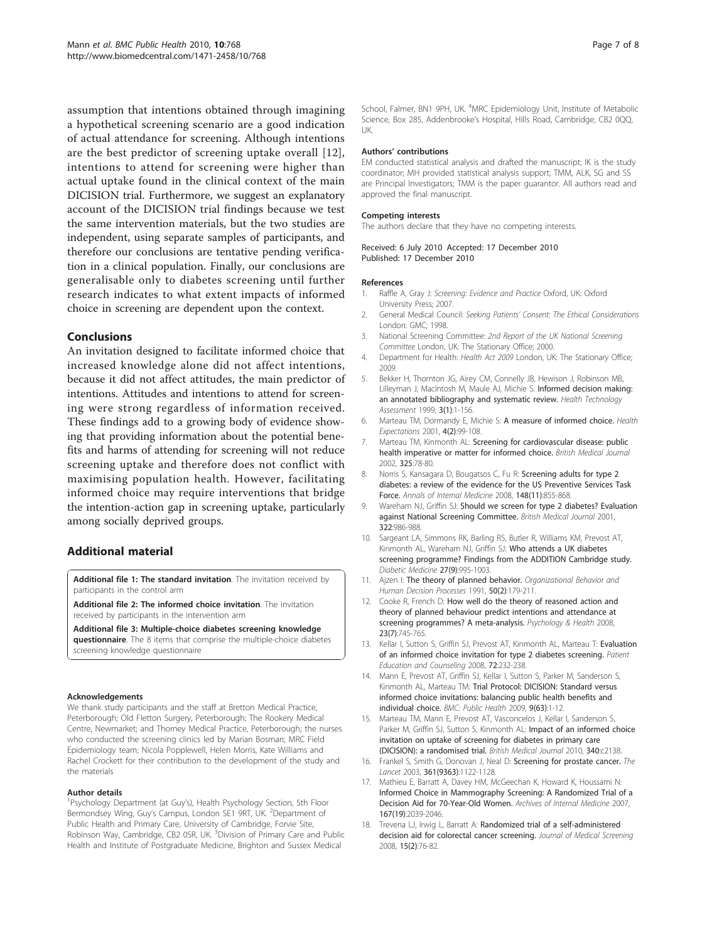<span id="page-6-0"></span>assumption that intentions obtained through imagining a hypothetical screening scenario are a good indication of actual attendance for screening. Although intentions are the best predictor of screening uptake overall [12], intentions to attend for screening were higher than actual uptake found in the clinical context of the main DICISION trial. Furthermore, we suggest an explanatory account of the DICISION trial findings because we test the same intervention materials, but the two studies are independent, using separate samples of participants, and therefore our conclusions are tentative pending verification in a clinical population. Finally, our conclusions are generalisable only to diabetes screening until further research indicates to what extent impacts of informed choice in screening are dependent upon the context.

## Conclusions

An invitation designed to facilitate informed choice that increased knowledge alone did not affect intentions, because it did not affect attitudes, the main predictor of intentions. Attitudes and intentions to attend for screening were strong regardless of information received. These findings add to a growing body of evidence showing that providing information about the potential benefits and harms of attending for screening will not reduce screening uptake and therefore does not conflict with maximising population health. However, facilitating informed choice may require interventions that bridge the intention-action gap in screening uptake, particularly among socially deprived groups.

## Additional material

[Additional file 1: T](http://www.biomedcentral.com/content/supplementary/1471-2458-10-768-S1.PDF)he standard invitation. The invitation received by participants in the control arm

[Additional file 2: T](http://www.biomedcentral.com/content/supplementary/1471-2458-10-768-S2.PDF)he informed choice invitation. The invitation received by participants in the intervention arm

[Additional file 3: M](http://www.biomedcentral.com/content/supplementary/1471-2458-10-768-S3.DOC)ultiple-choice diabetes screening knowledge questionnaire. The 8 items that comprise the multiple-choice diabetes screening knowledge questionnaire

#### Acknowledgements

We thank study participants and the staff at Bretton Medical Practice, Peterborough; Old Fletton Surgery, Peterborough; The Rookery Medical Centre, Newmarket; and Thorney Medical Practice, Peterborough; the nurses who conducted the screening clinics led by Marian Bosman; MRC Field Epidemiology team; Nicola Popplewell, Helen Morris, Kate Williams and Rachel Crockett for their contribution to the development of the study and the materials

#### Author details

<sup>1</sup>Psychology Department (at Guy's), Health Psychology Section, 5th Floor Bermondsey Wing, Guy's Campus, London SE1 9RT, UK. <sup>2</sup>Department of Public Health and Primary Care, University of Cambridge, Forvie Site, Robinson Way, Cambridge, CB2 0SR, UK. <sup>3</sup>Division of Primary Care and Public Health and Institute of Postgraduate Medicine, Brighton and Sussex Medical

School, Falmer, BN1 9PH, UK. <sup>4</sup>MRC Epidemiology Unit, Institute of Metabolic Science, Box 285, Addenbrooke's Hospital, Hills Road, Cambridge, CB2 0QQ, UK.

#### Authors' contributions

EM conducted statistical analysis and drafted the manuscript; IK is the study coordinator; MH provided statistical analysis support; TMM, ALK, SG and SS are Principal Investigators; TMM is the paper guarantor. All authors read and approved the final manuscript.

#### Competing interests

The authors declare that they have no competing interests.

#### Received: 6 July 2010 Accepted: 17 December 2010 Published: 17 December 2010

#### References

- 1. Raffle A, Gray J: Screening: Evidence and Practice Oxford, UK: Oxford University Press; 2007.
- 2. General Medical Council: Seeking Patients' Consent: The Ethical Considerations London: GMC: 1998.
- 3. National Screening Committee: 2nd Report of the UK National Screening Committee London, UK: The Stationary Office; 2000.
- 4. Department for Health: Health Act 2009 London, UK: The Stationary Office; 2009.
- 5. Bekker H, Thornton JG, Airey CM, Connelly JB, Hewison J, Robinson MB, Lilleyman J, MacIntosh M, Maule AJ, Michie S: [Informed decision making:](http://www.ncbi.nlm.nih.gov/pubmed/10350446?dopt=Abstract) [an annotated bibliography and systematic review.](http://www.ncbi.nlm.nih.gov/pubmed/10350446?dopt=Abstract) Health Technology Assessment 1999, 3(1):1-156.
- 6. Marteau TM, Dormandy E, Michie S: [A measure of informed choice.](http://www.ncbi.nlm.nih.gov/pubmed/11359540?dopt=Abstract) Health Expectations 2001, 4(2):99-108.
- 7. Marteau TM, Kinmonth AL: [Screening for cardiovascular disease: public](http://www.ncbi.nlm.nih.gov/pubmed/12114238?dopt=Abstract) [health imperative or matter for informed choice.](http://www.ncbi.nlm.nih.gov/pubmed/12114238?dopt=Abstract) British Medical Journal 2002, 325:78-80.
- 8. Norris S, Kansagara D, Bougatsos C, Fu R: [Screening adults for type 2](http://www.ncbi.nlm.nih.gov/pubmed/18519931?dopt=Abstract) [diabetes: a review of the evidence for the US Preventive Services Task](http://www.ncbi.nlm.nih.gov/pubmed/18519931?dopt=Abstract) [Force.](http://www.ncbi.nlm.nih.gov/pubmed/18519931?dopt=Abstract) Annals of Internal Medicine 2008, 148(11):855-868.
- 9. Wareham NJ, Griffin SJ: [Should we screen for type 2 diabetes? Evaluation](http://www.ncbi.nlm.nih.gov/pubmed/11312236?dopt=Abstract) [against National Screening Committee.](http://www.ncbi.nlm.nih.gov/pubmed/11312236?dopt=Abstract) British Medical Journal 2001, 322:986-988.
- 10. Sargeant LA, Simmons RK, Barling RS, Butler R, Williams KM, Prevost AT, Kinmonth AL, Wareham NJ, Griffin SJ: [Who attends a UK diabetes](http://www.ncbi.nlm.nih.gov/pubmed/20722672?dopt=Abstract) [screening programme? Findings from the ADDITION Cambridge study.](http://www.ncbi.nlm.nih.gov/pubmed/20722672?dopt=Abstract) Diabetic Medicine 27(9):995-1003.
- 11. Ajzen I: The theory of planned behavior. Organizational Behavior and Human Decision Processes 1991, 50(2):179-211.
- 12. Cooke R, French D: How well do the theory of reasoned action and theory of planned behaviour predict intentions and attendance at screening programmes? A meta-analysis. Psychology & Health 2008, 23(7):745-765.
- 13. Kellar I, Sutton S, Griffin SJ, Prevost AT, Kinmonth AL, Marteau T: [Evaluation](http://www.ncbi.nlm.nih.gov/pubmed/18513916?dopt=Abstract) [of an informed choice invitation for type 2 diabetes screening.](http://www.ncbi.nlm.nih.gov/pubmed/18513916?dopt=Abstract) Patient Education and Counseling 2008, 72:232-238.
- 14. Mann E, Prevost AT, Griffin SJ, Kellar I, Sutton S, Parker M, Sanderson S, Kinmonth AL, Marteau TM: [Trial Protocol: DICISION: Standard versus](http://www.ncbi.nlm.nih.gov/pubmed/19121216?dopt=Abstract) [informed choice invitations: balancing public health benefits and](http://www.ncbi.nlm.nih.gov/pubmed/19121216?dopt=Abstract) [individual choice.](http://www.ncbi.nlm.nih.gov/pubmed/19121216?dopt=Abstract) BMC: Public Health 2009, 9(63):1-12.
- 15. Marteau TM, Mann E, Prevost AT, Vasconcelos J, Kellar I, Sanderson S, Parker M, Griffin SJ, Sutton S, Kinmonth AL: [Impact of an informed choice](http://www.ncbi.nlm.nih.gov/pubmed/20466791?dopt=Abstract) [invitation on uptake of screening for diabetes in primary care](http://www.ncbi.nlm.nih.gov/pubmed/20466791?dopt=Abstract) [\(DICISION\): a randomised trial.](http://www.ncbi.nlm.nih.gov/pubmed/20466791?dopt=Abstract) British Medical Journal 2010, 340:c2138.
- 16. Frankel S, Smith G, Donovan J, Neal D: Screening for prostate cancer. The Lancet 2003, 361(9363):1122-1128.
- 17. Mathieu E, Barratt A, Davey HM, McGeechan K, Howard K, Houssami N: [Informed Choice in Mammography Screening: A Randomized Trial of a](http://www.ncbi.nlm.nih.gov/pubmed/17954796?dopt=Abstract) [Decision Aid for 70-Year-Old Women.](http://www.ncbi.nlm.nih.gov/pubmed/17954796?dopt=Abstract) Archives of Internal Medicine 2007, 167(19):2039-2046.
- 18. Trevena LJ, Irwig L, Barratt A: [Randomized trial of a self-administered](http://www.ncbi.nlm.nih.gov/pubmed/18573775?dopt=Abstract) [decision aid for colorectal cancer screening.](http://www.ncbi.nlm.nih.gov/pubmed/18573775?dopt=Abstract) Journal of Medical Screening 2008, 15(2):76-82.